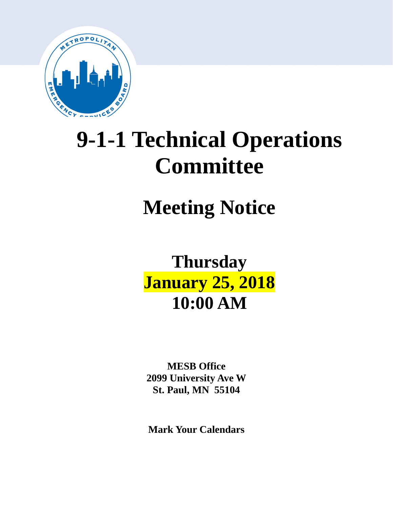

# **9-1-1 Technical Operations Committee**

# **Meeting Notice**

# **Thursday January 25, 2018 10:00 AM**

**MESB Office 2099 University Ave W St. Paul, MN 55104**

**Mark Your Calendars**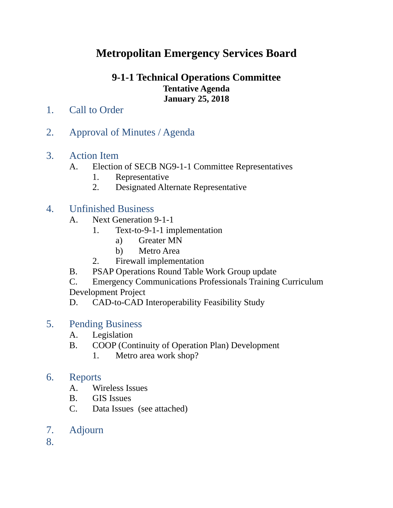# **Metropolitan Emergency Services Board**

### **9-1-1 Technical Operations Committee Tentative Agenda January 25, 2018**

- 1. Call to Order
- 2. Approval of Minutes / Agenda
- 3. Action Item
	- A. Election of SECB NG9-1-1 Committee Representatives
		- 1. Representative
		- 2. Designated Alternate Representative

# 4. Unfinished Business

- A. Next Generation 9-1-1
	- 1. Text-to-9-1-1 implementation
		- a) Greater MN
		- b) Metro Area
	- 2. Firewall implementation
- B. PSAP Operations Round Table Work Group update
- C. Emergency Communications Professionals Training Curriculum Development Project
- D. CAD-to-CAD Interoperability Feasibility Study

# 5. Pending Business

- A. Legislation
- B. COOP (Continuity of Operation Plan) Development
	- 1. Metro area work shop?

### 6. Reports

- A. Wireless Issues
- B. GIS Issues
- C. Data Issues (see attached)
- 7. Adjourn

8.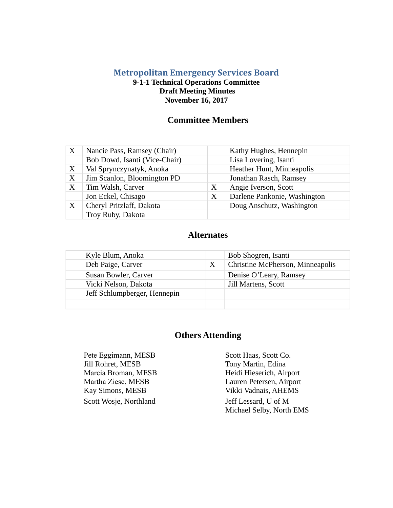#### **Metropolitan Emergency Services Board 9-1-1 Technical Operations Committee Draft Meeting Minutes**

**November 16, 2017**

#### **Committee Members**

| X | Nancie Pass, Ramsey (Chair)   |   | Kathy Hughes, Hennepin       |
|---|-------------------------------|---|------------------------------|
|   | Bob Dowd, Isanti (Vice-Chair) |   | Lisa Lovering, Isanti        |
| X | Val Sprynczynatyk, Anoka      |   | Heather Hunt, Minneapolis    |
| X | Jim Scanlon, Bloomington PD   |   | Jonathan Rasch, Ramsey       |
| X | Tim Walsh, Carver             | X | Angie Iverson, Scott         |
|   | Jon Eckel, Chisago            | X | Darlene Pankonie, Washington |
| X | Cheryl Pritzlaff, Dakota      |   | Doug Anschutz, Washington    |
|   | Troy Ruby, Dakota             |   |                              |

#### **Alternates**

| Kyle Blum, Anoka             |   | Bob Shogren, Isanti              |
|------------------------------|---|----------------------------------|
| Deb Paige, Carver            | X | Christine McPherson, Minneapolis |
| Susan Bowler, Carver         |   | Denise O'Leary, Ramsey           |
| Vicki Nelson, Dakota         |   | Jill Martens, Scott              |
| Jeff Schlumpberger, Hennepin |   |                                  |
|                              |   |                                  |

#### **Others Attending**

Pete Eggimann, MESB Scott Haas, Scott Co. Jill Rohret, MESB Tony Martin, Edina Scott Wosje, Northland Jeff Lessard, U of M

Marcia Broman, MESB Heidi Hieserich, Airport Martha Ziese, MESB Lauren Petersen, Airport Kay Simons, MESB Vikki Vadnais, AHEMS Michael Selby, North EMS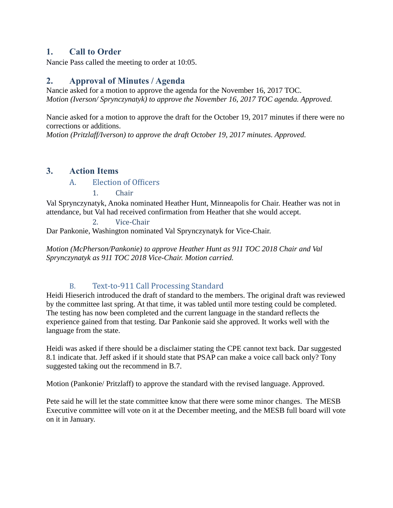#### **1. Call to Order**

Nancie Pass called the meeting to order at 10:05.

#### **2. Approval of Minutes / Agenda**

Nancie asked for a motion to approve the agenda for the November 16, 2017 TOC. *Motion (Iverson/ Sprynczynatyk) to approve the November 16, 2017 TOC agenda. Approved.*

Nancie asked for a motion to approve the draft for the October 19, 2017 minutes if there were no corrections or additions.

*Motion (Pritzlaff/Iverson) to approve the draft October 19, 2017 minutes. Approved.*

#### **3. Action Items**

#### A. Election of Officers

1. Chair

Val Sprynczynatyk, Anoka nominated Heather Hunt, Minneapolis for Chair. Heather was not in attendance, but Val had received confirmation from Heather that she would accept.

2. Vice-Chair Dar Pankonie, Washington nominated Val Sprynczynatyk for Vice-Chair.

*Motion (McPherson/Pankonie) to approve Heather Hunt as 911 TOC 2018 Chair and Val Sprynczynatyk as 911 TOC 2018 Vice-Chair. Motion carried.*

#### B. Text-to-911 Call Processing Standard

Heidi Hieserich introduced the draft of standard to the members. The original draft was reviewed by the committee last spring. At that time, it was tabled until more testing could be completed. The testing has now been completed and the current language in the standard reflects the experience gained from that testing. Dar Pankonie said she approved. It works well with the language from the state.

Heidi was asked if there should be a disclaimer stating the CPE cannot text back. Dar suggested 8.1 indicate that. Jeff asked if it should state that PSAP can make a voice call back only? Tony suggested taking out the recommend in B.7.

Motion (Pankonie/ Pritzlaff) to approve the standard with the revised language. Approved.

Pete said he will let the state committee know that there were some minor changes. The MESB Executive committee will vote on it at the December meeting, and the MESB full board will vote on it in January.